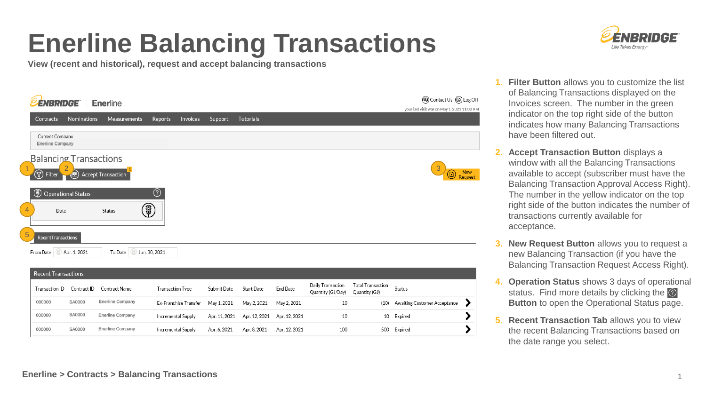# **Enerline Balancing Transactions**

**View (recent and historical), request and accept balancing transactions**

| <b>ÉNBRIDGE</b><br>Contracts                                        | Nominations               | <b>Enerline</b><br><b>Measurements</b> | Invoices<br>Reports                    | Support       | <b>Tutorials</b> |                 |                                        |                                           | (a) Contact Us (B) Log Off<br>your last visit was on May 1, 2021 11:02 AM |
|---------------------------------------------------------------------|---------------------------|----------------------------------------|----------------------------------------|---------------|------------------|-----------------|----------------------------------------|-------------------------------------------|---------------------------------------------------------------------------|
| Current Company<br><b>Enerline Company</b>                          |                           |                                        |                                        |               |                  |                 |                                        |                                           |                                                                           |
| <b>Balancing Transactions</b><br>ଭ<br>Filter                        | $\bigcirc$                | Accept Transaction                     |                                        |               |                  |                 |                                        |                                           | 3<br><b>New</b><br>O                                                      |
| $^{\circledR}$<br>$\overline{4}$<br>Date<br>5<br>RecentTransactions | <b>Operational Status</b> | 軍<br>Status                            | $_{\tiny\textcircled{\scriptsize{2}}}$ |               |                  |                 |                                        |                                           |                                                                           |
| From Date<br><b>Recent Transactions</b>                             | Apr. 1, 2021              | Jun. 30, 2021<br>To Date               |                                        |               |                  |                 |                                        |                                           |                                                                           |
| Transaction ID                                                      | Contract ID               | Contract Name                          | Transaction Type                       | Submit Date   | Start Date       | <b>End Date</b> | Daily Transaction<br>Quantity (GJ/Day) | <b>Total Transaction</b><br>Quantity (GJ) | Status                                                                    |
| 000000                                                              | SA0000                    | <b>Enerline Company</b>                | Ex-Franchise Transfer                  | May 1, 2021   | May 2, 2021      | May 2, 2021     | 10                                     | (10)                                      | Awaiting Customer Acceptance<br>7                                         |
| 000000                                                              | SA0000                    | <b>Enerline Company</b>                | <b>Incremental Supply</b>              | Apr. 11, 2021 | Apr. 12, 2021    | Apr. 12, 2021   | 10                                     | 10                                        | Expired                                                                   |
| 000000                                                              | SA0000                    | <b>Enerline Company</b>                | <b>Incremental Supply</b>              | Apr. 6, 2021  | Apr. 8, 2021     | Apr. 12, 2021   | 100                                    | 500                                       | Expired                                                                   |



- **1. Filter Button** allows you to customize the list of Balancing Transactions displayed on the Invoices screen. The number in the green indicator on the top right side of the button indicates how many Balancing Transactions have been filtered out.
- **2. Accept Transaction Button displays a** window with all the Balancing Transactions available to accept (subscriber must have the Balancing Transaction Approval Access Right). The number in the yellow indicator on the top right side of the button indicates the number of transactions currently available for acceptance.
- **3. New Request Button allows you to request a** new Balancing Transaction (if you have the Balancing Transaction Request Access Right).
- **4. Operation Status** shows 3 days of operational status. Find more details by clicking the  $\odot$ **Button** to open the Operational Status page.
- **5. Recent Transaction Tab allows you to view** the recent Balancing Transactions based on the date range you select.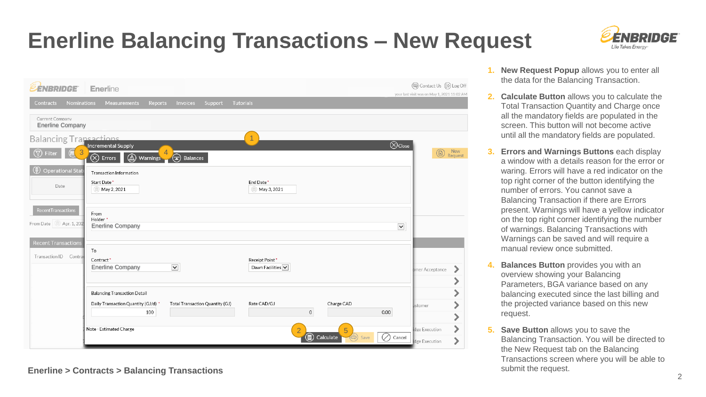### **Enerline Balancing Transactions – New Request**



| <b><i>EENBRIDGE</i></b>                              | Enerline                                                                                                                      | (a) Contact Us (B) Log Off<br>your last visit was on May 1, 2021 11:02 AM |
|------------------------------------------------------|-------------------------------------------------------------------------------------------------------------------------------|---------------------------------------------------------------------------|
| <b>Nominations</b><br>Contracts                      | Measurements<br>Invoices<br><b>Tutorials</b><br>Reports<br>Support                                                            |                                                                           |
| Current Company<br><b>Enerline Company</b>           |                                                                                                                               |                                                                           |
| <b>Balancing Trapsactions</b>                        |                                                                                                                               |                                                                           |
| $\bigcirc$<br>3<br><b>Filter</b>                     | $\bigotimes$ Close<br><b>Incremental Supply</b><br>$^{\circledR}$<br>(金<br>$\otimes$<br>Warnings<br><b>Balances</b><br>Errors | <b>New</b><br>G,<br>Request                                               |
| <b>Operational Stat</b>                              | Transaction Information                                                                                                       |                                                                           |
| Date                                                 | Start Date*<br>End Date*<br>May 2, 2021<br>May 3, 2021                                                                        |                                                                           |
| RecentTransactions<br>From Date   Apr. 1, 202        | From<br>Holder *                                                                                                              |                                                                           |
|                                                      | $\check{~}$<br><b>Enerline Company</b>                                                                                        |                                                                           |
| <b>Recent Transactions</b><br>Transaction ID Contrad | To<br>Receipt Point *<br>Contract*                                                                                            |                                                                           |
|                                                      | $\check{~}$<br>Dawn Facilities V<br><b>Enerline Company</b>                                                                   | omer Acceptance                                                           |
|                                                      | <b>Balancing Transaction Detail</b>                                                                                           |                                                                           |
|                                                      | Total Transaction Quantity (GJ)<br>Rate CAD/GJ<br>Charge CAD<br>Daily Transaction Quantity (GJ/d) *                           | ustomer                                                                   |
|                                                      | $\mathbb O$<br>100<br>0.00                                                                                                    | ⋗                                                                         |
|                                                      | Note - Estimated Charge<br>5<br>$\overline{2}$                                                                                | idge Execution                                                            |
|                                                      | Calculate<br>$\left(\frac{1}{\sqrt{2}}\right)$<br>Cancel<br>Save                                                              | <b>idge Execution</b>                                                     |

#### **Enerline > Contracts > Balancing Transactions**

- **1. New Request Popup** allows you to enter all the data for the Balancing Transaction.
- **2. Calculate Button** allows you to calculate the Total Transaction Quantity and Charge once all the mandatory fields are populated in the screen. This button will not become active until all the mandatory fields are populated.
- **3. Errors and Warnings Buttons** each display a window with a details reason for the error or waring. Errors will have a red indicator on the top right corner of the button identifying the number of errors. You cannot save a Balancing Transaction if there are Errors present. Warnings will have a yellow indicator on the top right corner identifying the number of warnings. Balancing Transactions with Warnings can be saved and will require a manual review once submitted.
- **4. Balances Button** provides you with an overview showing your Balancing Parameters, BGA variance based on any balancing executed since the last billing and the projected variance based on this new request.
- **5. Save Button** allows you to save the Balancing Transaction. You will be directed to the New Request tab on the Balancing Transactions screen where you will be able to submit the request.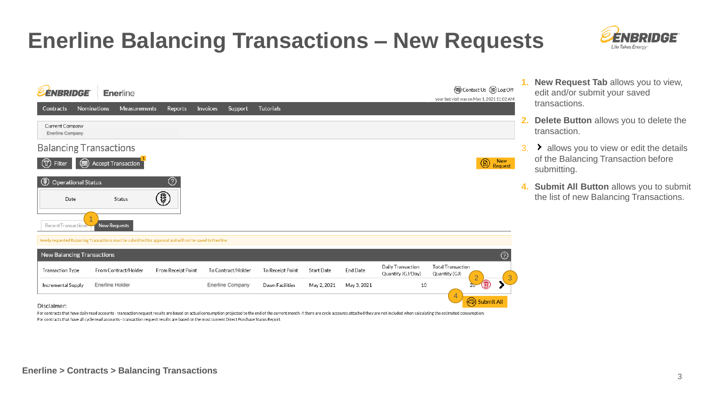#### **Enerline Balancing Transactions – New Requests**



| <b><i>EENBRIDGE</i></b>                                                                                 |                    | <b>Enerline</b> |                         |          |         |                  |        |                   | your last visit was on May 1, 2021 11:02 AM | <b>@Contact Us @Log Off</b>   | л.           |
|---------------------------------------------------------------------------------------------------------|--------------------|-----------------|-------------------------|----------|---------|------------------|--------|-------------------|---------------------------------------------|-------------------------------|--------------|
| <b>Contracts</b>                                                                                        | Nominations        | Measurements    | Reports                 | Invoices | Support | <b>Tutorials</b> |        |                   |                                             |                               |              |
| Current Company<br><b>Enerline Company</b>                                                              |                    |                 |                         |          |         |                  |        |                   |                                             |                               | 2.           |
| <b>Balancing Transactions</b>                                                                           |                    |                 |                         |          |         |                  |        |                   |                                             |                               | $\mathbf{3}$ |
| $\circledr$<br>Filter                                                                                   | Accept Transaction |                 |                         |          |         |                  |        |                   |                                             | New<br>$\circledB$<br>Request |              |
| $^{\circledR}$<br><b>Operational Status</b><br>Date<br>RecentTransactions                               | New Requests       | Status          | ⊚<br>$\pmb{\mathbb{P}}$ |          |         |                  |        |                   |                                             |                               | 4.           |
| Newly requested Balancing Transactions must be submitted for approval and will not be saved in Enerline |                    |                 |                         |          |         |                  |        |                   |                                             |                               |              |
| New Balancing Transactions                                                                              |                    |                 |                         |          |         |                  |        |                   |                                             | $^\circledR$                  |              |
|                                                                                                         |                    |                 |                         |          |         |                  | $   -$ | Daily Transaction | <b>Total Transaction</b>                    |                               |              |

To Receipt Point

Dawn Facilities

**Start Date** 

May 2, 2021

**End Date** 

May 3, 2021

Quantity (GJ/Day)

- **1. New Request Tab** allows you to view, edit and/or submit your saved transactions.
- **2. Delete Button** allows you to delete the transaction.
- > allows you to view or edit the details of the Balancing Transaction before submitting.
- **4. Submit All Button** allows you to submit the list of new Balancing Transactions.

 $2 \sim 3$ 

4

Quantity (GJ

10

#### Disclaimer:

**Transaction Type** 

**Incremental Supply** 

For contracts that have daily read accounts - transaction request results are based on actual consumption projected to the end of the current month. If there are cycle accounts attached they are not included when calculati For contracts that have all cycle read accounts - transaction request results are based on the most current Direct Purchase Status Report

To Contract/Holder

From Contract/Holder

Enerline Holder **Enerline Company** 

From Receipt Point